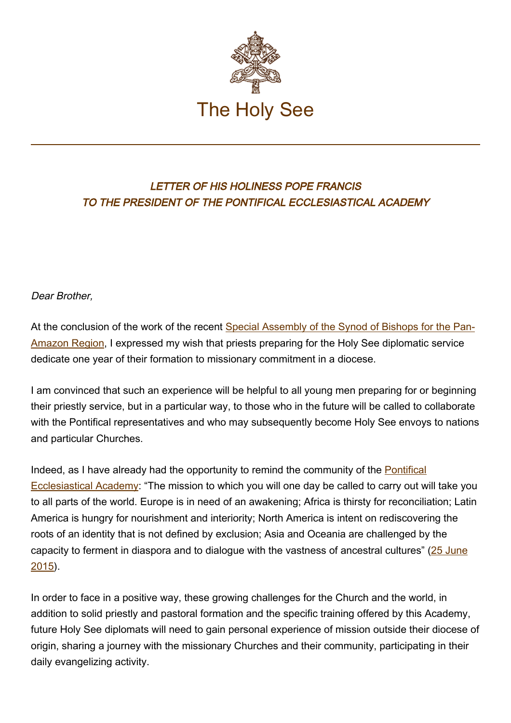

## LETTER OF HIS HOLINESS POPE FRANCIS TO THE PRESIDENT OF THE PONTIFICAL ECCLESIASTICAL ACADEMY

Dear Brother,

At the conclusion of the work of the recent [Special Assembly of the Synod of Bishops for the Pan-](http://www.sinodoamazonico.va/content/sinodoamazonico/en.html)[Amazon Region](http://www.sinodoamazonico.va/content/sinodoamazonico/en.html), I expressed my wish that priests preparing for the Holy See diplomatic service dedicate one year of their formation to missionary commitment in a diocese.

I am convinced that such an experience will be helpful to all young men preparing for or beginning their priestly service, but in a particular way, to those who in the future will be called to collaborate with the Pontifical representatives and who may subsequently become Holy See envoys to nations and particular Churches.

Indeed, as I have already had the opportunity to remind the community of the [Pontifical](http://www.vatican.va/roman_curia/pontifical_academies/acdeccles/index.htm) [Ecclesiastical Academy](http://www.vatican.va/roman_curia/pontifical_academies/acdeccles/index.htm): "The mission to which you will one day be called to carry out will take you to all parts of the world. Europe is in need of an awakening; Africa is thirsty for reconciliation; Latin America is hungry for nourishment and interiority; North America is intent on rediscovering the roots of an identity that is not defined by exclusion; Asia and Oceania are challenged by the capacity to ferment in diaspora and to dialogue with the vastness of ancestral cultures" ([25 June](http://w2.vatican.va/content/francesco/en/speeches/2015/june/documents/papa-francesco_20150625_pontificia-accademia-ecclesiastica.html) [2015\)](http://w2.vatican.va/content/francesco/en/speeches/2015/june/documents/papa-francesco_20150625_pontificia-accademia-ecclesiastica.html).

In order to face in a positive way, these growing challenges for the Church and the world, in addition to solid priestly and pastoral formation and the specific training offered by this Academy, future Holy See diplomats will need to gain personal experience of mission outside their diocese of origin, sharing a journey with the missionary Churches and their community, participating in their daily evangelizing activity.